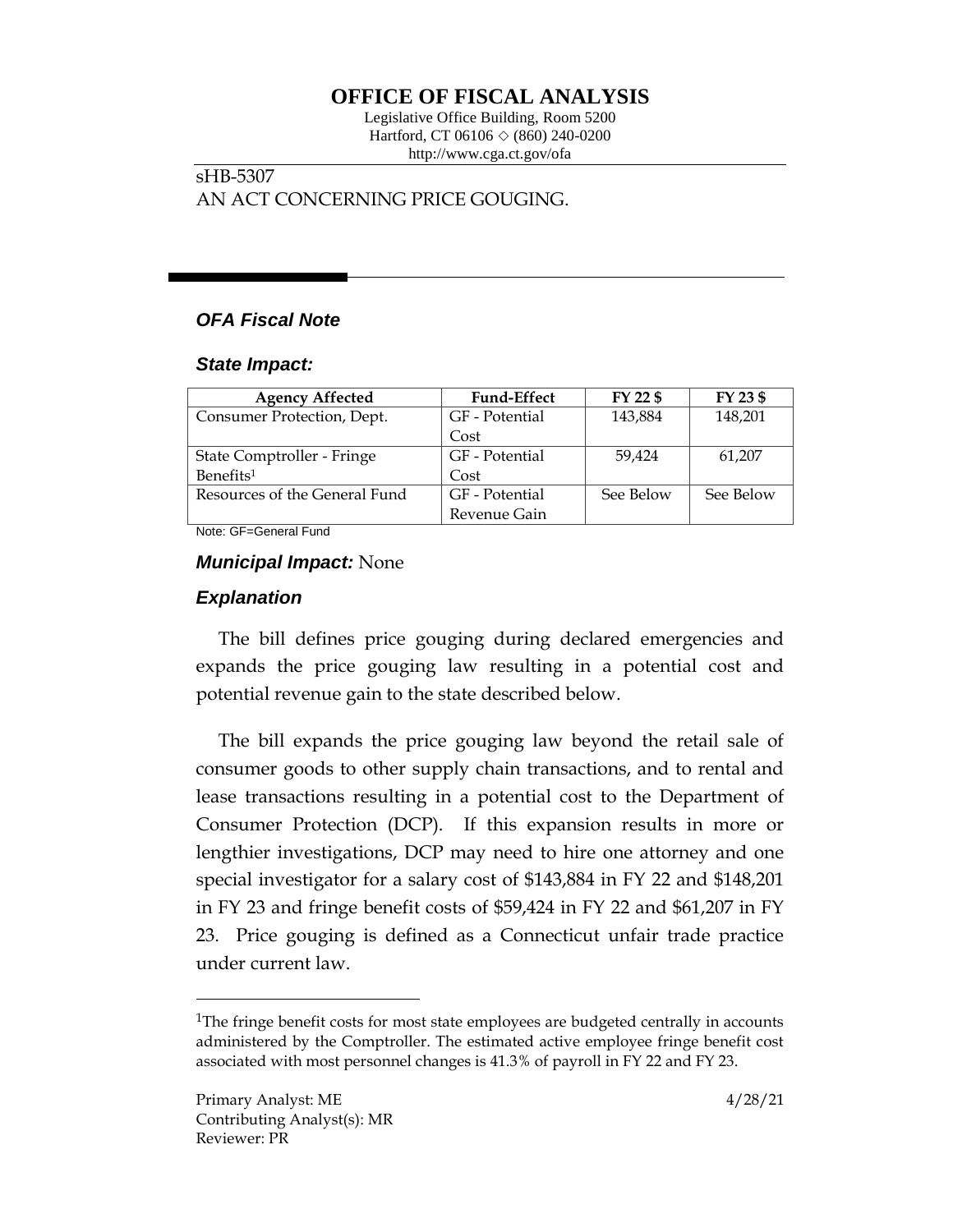# **OFFICE OF FISCAL ANALYSIS**

Legislative Office Building, Room 5200 Hartford, CT 06106  $\Diamond$  (860) 240-0200 http://www.cga.ct.gov/ofa

# sHB-5307 AN ACT CONCERNING PRICE GOUGING.

# *OFA Fiscal Note*

#### *State Impact:*

| <b>Agency Affected</b>        | <b>Fund-Effect</b> | FY 22 \$  | FY 23 \$  |
|-------------------------------|--------------------|-----------|-----------|
| Consumer Protection, Dept.    | GF - Potential     | 143,884   | 148,201   |
|                               | Cost               |           |           |
| State Comptroller - Fringe    | GF - Potential     | 59,424    | 61,207    |
| Benefits <sup>1</sup>         | Cost               |           |           |
| Resources of the General Fund | GF - Potential     | See Below | See Below |
|                               | Revenue Gain       |           |           |

Note: GF=General Fund

### *Municipal Impact:* None

## *Explanation*

The bill defines price gouging during declared emergencies and expands the price gouging law resulting in a potential cost and potential revenue gain to the state described below.

The bill expands the price gouging law beyond the retail sale of consumer goods to other supply chain transactions, and to rental and lease transactions resulting in a potential cost to the Department of Consumer Protection (DCP). If this expansion results in more or lengthier investigations, DCP may need to hire one attorney and one special investigator for a salary cost of \$143,884 in FY 22 and \$148,201 in FY 23 and fringe benefit costs of \$59,424 in FY 22 and \$61,207 in FY 23. Price gouging is defined as a Connecticut unfair trade practice under current law.

 $\overline{a}$ 

<sup>&</sup>lt;sup>1</sup>The fringe benefit costs for most state employees are budgeted centrally in accounts administered by the Comptroller. The estimated active employee fringe benefit cost associated with most personnel changes is 41.3% of payroll in FY 22 and FY 23.